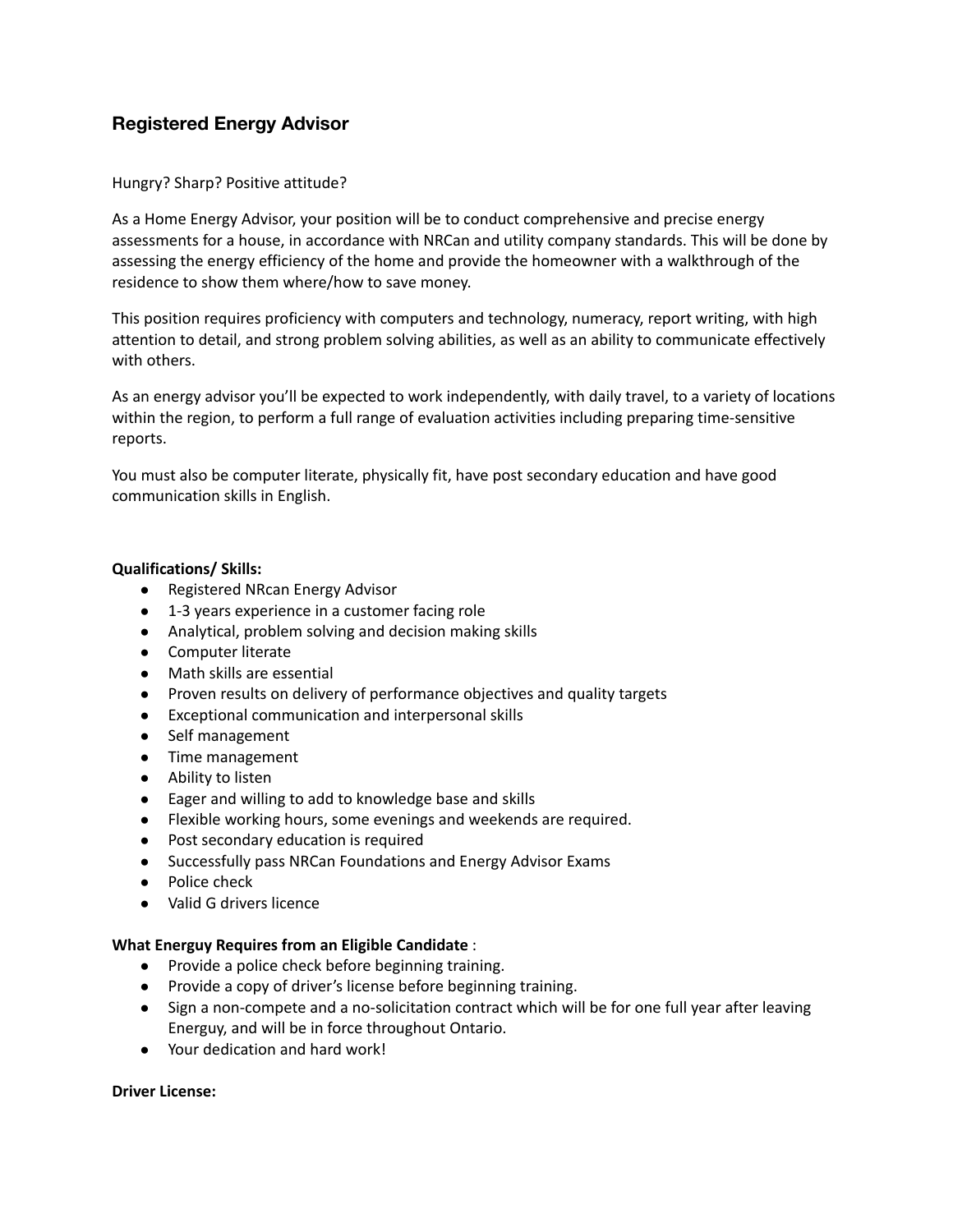# **Registered Energy Advisor**

## Hungry? Sharp? Positive attitude?

As a Home Energy Advisor, your position will be to conduct comprehensive and precise energy assessments for a house, in accordance with NRCan and utility company standards. This will be done by assessing the energy efficiency of the home and provide the homeowner with a walkthrough of the residence to show them where/how to save money.

This position requires proficiency with computers and technology, numeracy, report writing, with high attention to detail, and strong problem solving abilities, as well as an ability to communicate effectively with others.

As an energy advisor you'll be expected to work independently, with daily travel, to a variety of locations within the region, to perform a full range of evaluation activities including preparing time-sensitive reports.

You must also be computer literate, physically fit, have post secondary education and have good communication skills in English.

## **Qualifications/ Skills:**

- Registered NRcan Energy Advisor
- 1-3 years experience in a customer facing role
- Analytical, problem solving and decision making skills
- Computer literate
- Math skills are essential
- Proven results on delivery of performance objectives and quality targets
- Exceptional communication and interpersonal skills
- Self management
- Time management
- Ability to listen
- Eager and willing to add to knowledge base and skills
- Flexible working hours, some evenings and weekends are required.
- Post secondary education is required
- Successfully pass NRCan Foundations and Energy Advisor Exams
- Police check
- Valid G drivers licence

## **What Energuy Requires from an Eligible Candidate** :

- Provide a police check before beginning training.
- Provide a copy of driver's license before beginning training.
- Sign a non-compete and a no-solicitation contract which will be for one full year after leaving Energuy, and will be in force throughout Ontario.
- Your dedication and hard work!

## **Driver License:**